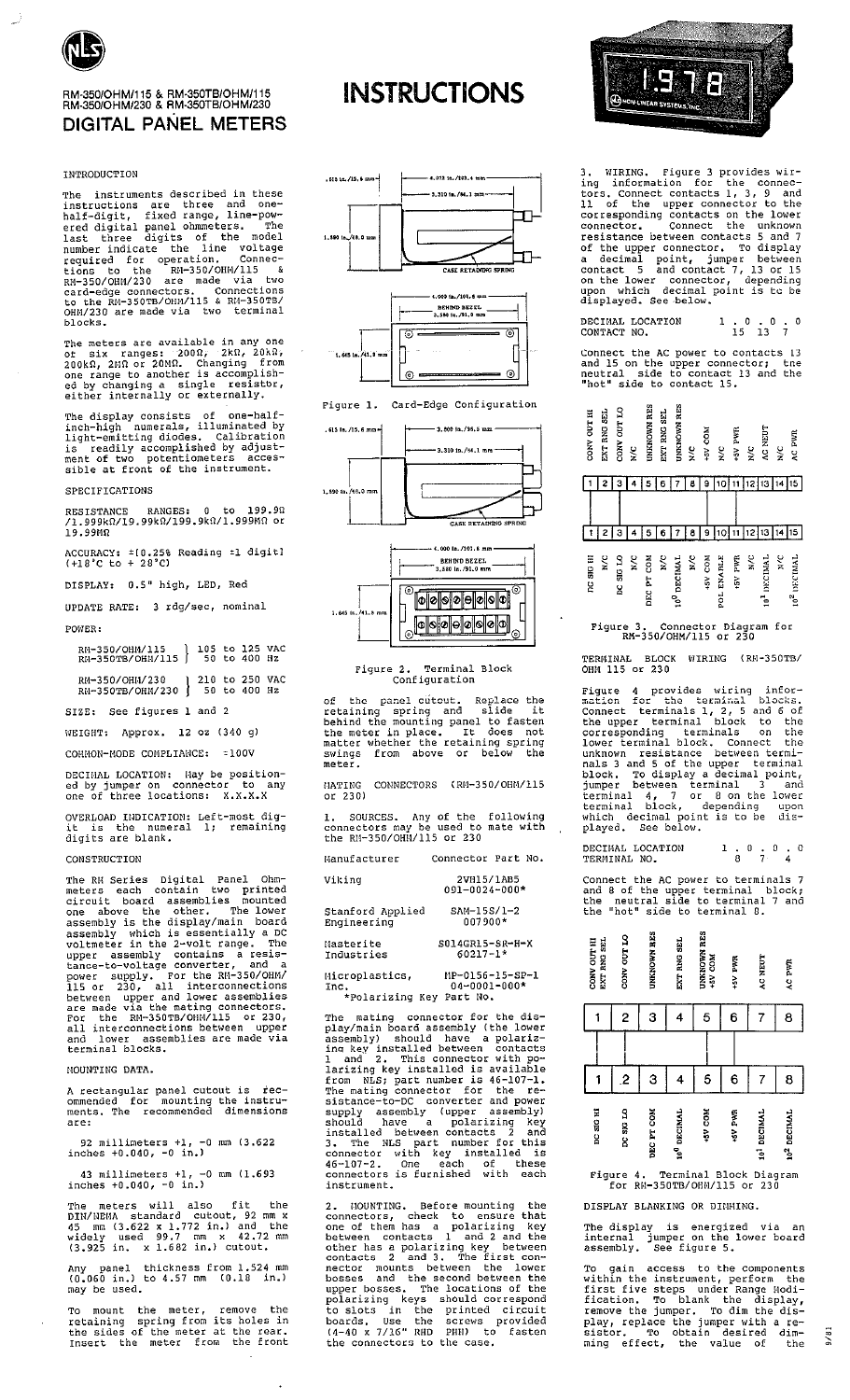

# RM-350/OHM/115 & RM-350TB/OHM/115<br>RM-350/OHM/230 & RM-350TB/OHM/230 DIGITAL PANEL METERS

## INTRODUCTION

The instruments described in these<br>instructions are three and one-<br>half-digit, fixed range, line-pow-<br>ered digital panel ohmmeters. The<br>last three digits of the model<br>number indicate the line voltage<br>required for operation blocks.

The meters are available in any one<br>of six ranges:  $200\Omega$ ,  $2k\Omega$ ,  $20k\Omega$ ,<br> $200k\Omega$ ,  $2k\Omega$  or  $20M\Omega$ . Changing from<br>one range to another is accomplish-<br>ed by changing a single resistor,<br>either internally or externally

The display consists of one-half-<br>inch-high numerals, illuminated by<br>light-emitting diodes. Calibration<br>is readily accomplished by adjust-<br>ment of two potentiometers acces-<br>sible at front of the instrument.

## SPECIFICATIONS

RESISTANCE RANGES: 0 to 199.90<br>/1.999k0/19.99k0/199.9k0/1.999M0 or 19.99MΩ

ACCURACY:  $\pm$ [0.25% Reading  $\pm$ 1 digit]<br>(+18<sup>2</sup>C to + 28<sup>2</sup>C)

## DISPLAY: 0.5" high, LED, Red

UPDATE RATE: 3 rdg/sec. nominal POWER:

|  | RM-350/OHM/115   105 to 125 VAC<br>RM-350TB/OHM/115   50 to 400 Hz |  |  |  |
|--|--------------------------------------------------------------------|--|--|--|
|  | RM-350/OHM/230   210 to 250 VAC<br>RM-350TB/OHM/230   50 to 400 Hz |  |  |  |
|  | SIZE: See figures 1 and 2                                          |  |  |  |

WEIGHT: Approx. 12 oz (340 g)

COMMON-MODE COMPLIANCE: = 100V

DECIMAL LOCATION: May be position-<br>ed by jumper on connector to any<br>one of three locations: X.X.X.X

OVERLOAD INDICATION: Left-most dig-<br>it is the numeral l; remaining<br>digits are blank.

## CONSTRUCTION

CONSTRUCTION<br>The RM Series Digital Panel Ohm-<br>meters each contain two printed<br>circuit board assemblies mounted<br>one above the other. The lower<br>assembly is the display/main board<br>assembly which is essentially a DC<br>voltmeter

### MOUNTING DATA.

A rectangular panel cutout is rec-<br>ommended for mounting the instru-<br>ments. The recommended dimensions are:

92 millimeters  $+1$ ,  $-0$  mm (3.622<br>inches  $+0.040$ ,  $-0$  in.)

43 millimeters  $+1$ ,  $-0$  mm (1.693 inches  $+0.040, -0 in.)$ 

The meters will also fit the<br>DIN/WEMA standard cutout, 92 mm x<br>45 mm  $(3.622 \times 1.772 \text{ in.})$  and the<br>widely used 99.7 mm x 42.72 mm<br> $(3.925 \text{ in.} \times 1.682 \text{ in.})$  cutout.

Any panel thickness from 1.524 mm<br>(0.060 in.) to 4.57 mm (0.18 in.)<br>may be used.

To mount the meter, remove the<br>retaining spring from its holes in<br>the sides of the meter at the rear.<br>Insert the meter from the front



**INSTRUCTIONS** 



Figure 1. Card-Edge Configuration





#### Terminal Block Figure 2. Configuration

of the panel cuttout. Replace the<br>retaining spring and slide it<br>behind the mounting panel to fasten<br>the meter in place. It does not<br>matter whether the retaining spring<br>swings from above or below the meter.

NATING CONNECTORS (RM-350/OHM/115<br>or 230)

1. SOURCES. Any of the following<br>connectors may be used to mate with<br>the RM-350/OHM/115 or 230

Connector Part No. Manufacturer

| Viking           | 2V815/1AB5<br>091-0024-000* |
|------------------|-----------------------------|
| Stanford Applied | $SAM-15S/1-2$               |
| Engineering      | 007900*                     |
| Masterite        | S014GR15-SR-H-X             |
| Industries       | $60217 - 1*$                |

 $MP-0156-15-SP-1$ <br>04-0001-000\*  $Microplastics,$ Inc.<br>\*Polarizing Key Part No.

"Polailing Rey Falt No.<br>The mating connector for the dis-<br>assembly) should have a polariz-<br>ing key installed between contacts<br>1 and 2. This connector with po-<br>larizing key installed is available<br>from NLS; part number is 46 instrument.

2. NOUNTING. Before mounting the<br>connectors, check to ensure that<br>connectors, check to ensure that<br>one of them has a polarizing key<br>between contacts 1 and 2 and the<br>other has a polarizing key between<br>nector mounts between



3. WIRING. Figure 3 provides wir-<br>ing information for the connec-<br>tors. Connect contacts 1, 3, 9 and<br>11 of the upper connector to the<br>corresponding contacts on the lower<br>connector. Connect the unknown<br>resistance between co

|             | DECIMAL LOCATION |  | 1.0.0.0 |  |  |
|-------------|------------------|--|---------|--|--|
| CONTACT NO. |                  |  | 15 13 7 |  |  |

Connect the AC power to contacts 13<br>and 15 on the upper connector; the<br>neutral side to contact 13 and the<br>"hot" side to contact 15.

|                                                                      | CONV OUT HI      | EXT RNG SEL        | CONV OUT LO | 2)c           | <b>UNKNOWN RES</b>   | EXT RNG SEL   | UNKNOWN RES             | $\frac{c}{\mathbf{z}}$ | HEY COM        | $\sum_{i=1}^{n}$ | HSV PVR           | $\frac{c}{\mathbf{z}}$  | AC NEUT                 | $\sum_{i=1}^{n}$       | AC PWR                  |
|----------------------------------------------------------------------|------------------|--------------------|-------------|---------------|----------------------|---------------|-------------------------|------------------------|----------------|------------------|-------------------|-------------------------|-------------------------|------------------------|-------------------------|
|                                                                      |                  | 2                  | 3           |               | 5                    | 6             |                         | 8                      | G              | 10I              | 11                |                         | 12 13 14                |                        | 15                      |
|                                                                      |                  |                    |             |               |                      |               |                         |                        |                |                  |                   |                         |                         |                        |                         |
|                                                                      |                  | 2                  | з           |               | 5                    | 6             | 7                       | 8                      | 9              | 10               | 11                | 12 13                   |                         |                        | 15                      |
|                                                                      | <b>DC SIG HI</b> | $\frac{c}{\alpha}$ | SIG LO<br>ğ | $\frac{1}{2}$ | <b>CON</b><br>DEC PT | $\frac{C}{Z}$ | 10 <sup>0</sup> DECIMAL | $\frac{c}{\mathbf{z}}$ | <b>HSV COM</b> | POL ENABLE       | SV <sub>PVR</sub> | $\mathbf{N}/\mathbf{C}$ | 10 <sup>1</sup> DECIMAL | $\frac{c}{\mathbf{z}}$ | 10 <sup>2</sup> DECIMAL |
| for<br>e 3. Connector Diagram<br>RM-350/OHM/115 or 230<br>Figure     |                  |                    |             |               |                      |               |                         |                        |                |                  |                   |                         |                         |                        |                         |
| (RM-350TB/<br>BLOCK<br>WIRING<br>TERMINAL<br>230<br>115<br>они<br>or |                  |                    |             |               |                      |               |                         |                        |                |                  |                   |                         |                         |                        |                         |

Figure 4 provides wiring infor-<br>Figure 4 provides wiring infor-<br>mation for the terminals 1, 2, 5 and 6 of<br>the upper terminals 1, 2, 5 and 6 of<br>the upper terminal block to the<br>corresponding terminals on the<br>lower terminal b

 $\begin{array}{ccccccccc} 1 & , & 0 & , & 0 & , & 0 \\ & 8 & & 7 & & 4 \end{array}$ DECIMAL LOCATION<br>TERMINAL NO.

Connect the AC power to terminals 7<br>and 8 of the upper terminal block;<br>the neutral side to terminal 7 and<br>the "hot" side to terminal 8.



Figure 4. Terminal Block Diagram for RM-350TB/OHM/115 or 230

DISPLAY BLANKING OR DINMING.

The display is energized via an<br>internal jumper on the lower board<br>assembly. See figure 5.

To gain access to the components<br>within the instrument, perform the<br>first five steps under Range Hodi-<br>fication. To blank the display,<br>remove the jumper. To dim the dis-<br>play, replace the jumper with a re-<br>sistor. To obtai

 $\frac{3}{2}$